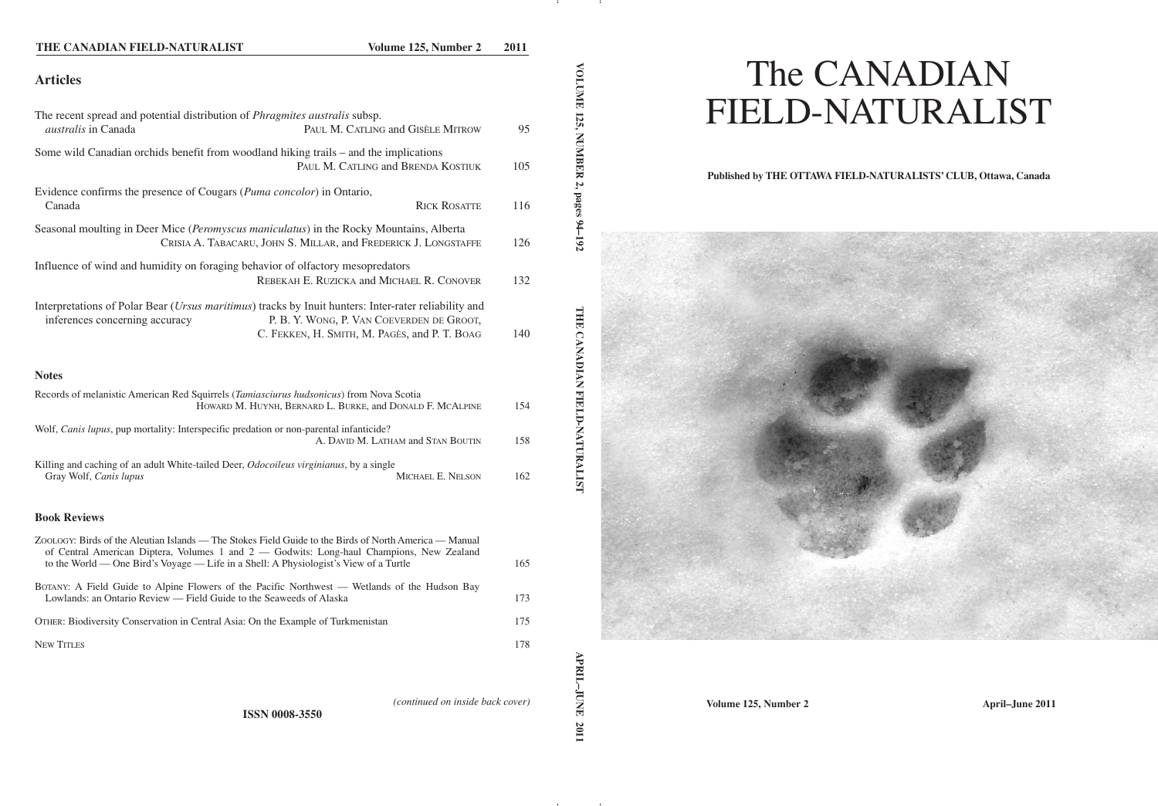## **THE CANADIAN FIELD-NATURALIST Volume 125, Number 2 2011**

# **Articles**

| The recent spread and potential distribution of <i>Phragmites australis</i> subsp.<br><i>australis</i> in Canada                       | PAUL M. CATLING and GISÈLE MITROW                                                          | 95  |
|----------------------------------------------------------------------------------------------------------------------------------------|--------------------------------------------------------------------------------------------|-----|
| Some wild Canadian orchids benefit from woodland hiking trails – and the implications                                                  | PAUL M. CATLING and BRENDA KOSTIUK                                                         | 105 |
| Evidence confirms the presence of Cougars (Puma concolor) in Ontario,<br>Canada                                                        | <b>RICK ROSATTE</b>                                                                        | 116 |
| Seasonal moulting in Deer Mice (Peromyscus maniculatus) in the Rocky Mountains, Alberta                                                | CRISIA A. TABACARU, JOHN S. MILLAR, and FREDERICK J. LONGSTAFFE                            | 126 |
| Influence of wind and humidity on foraging behavior of olfactory mesopredators                                                         | REBEKAH E. RUZICKA and MICHAEL R. CONOVER                                                  | 132 |
| Interpretations of Polar Bear (Ursus maritimus) tracks by Inuit hunters: Inter-rater reliability and<br>inferences concerning accuracy | P. B. Y. WONG, P. VAN COEVERDEN DE GROOT,<br>C. FEKKEN, H. SMITH, M. PAGÈS, and P. T. BOAG | 140 |
| <b>Notes</b>                                                                                                                           |                                                                                            |     |
| Records of melanistic American Red Squirrels (Tamiasciurus hudsonicus) from Nova Scotia                                                | HOWARD M. HUYNH, BERNARD L. BURKE, and DONALD F. MCALPINE                                  | 154 |
| Wolf, Canis lupus, pup mortality: Interspecific predation or non-parental infanticide?                                                 | A. DAVID M. LATHAM and STAN BOUTIN                                                         | 158 |

Killing and caching of an adult White-tailed Deer, *Odocoileus virginianus*, by a single<br>Gray Wolf, *Canis lupus* MICHAEL E. NELSON Gray Wolf, *Canis lupus* 162

#### **Book Reviews**

| ZOOLOGY: Birds of the Aleutian Islands — The Stokes Field Guide to the Birds of North America — Manual<br>of Central American Diptera, Volumes 1 and 2 — Godwits: Long-haul Champions, New Zealand<br>to the World — One Bird's Voyage — Life in a Shell: A Physiologist's View of a Turtle | 165 |
|---------------------------------------------------------------------------------------------------------------------------------------------------------------------------------------------------------------------------------------------------------------------------------------------|-----|
| BOTANY: A Field Guide to Alpine Flowers of the Pacific Northwest — Wetlands of the Hudson Bay<br>Lowlands: an Ontario Review — Field Guide to the Seaweeds of Alaska                                                                                                                        | 173 |
| OTHER: Biodiversity Conservation in Central Asia: On the Example of Turkmenistan                                                                                                                                                                                                            | 175 |
| <b>NEW TITLES</b>                                                                                                                                                                                                                                                                           | 178 |
|                                                                                                                                                                                                                                                                                             |     |

**VOLUME** 

**125,**

**MBBBBBBBBB** 

**2, pages**

*(continued on inside back cover)*

# The CANADIAN FIELD-NATURALIST

## **Published by THE OTTAWA FIELD-NATURALISTS' CLUB, Ottawa, Canada**



**Volume 125, Number 2 April–June 2011**

**ISSN 0008-3550**